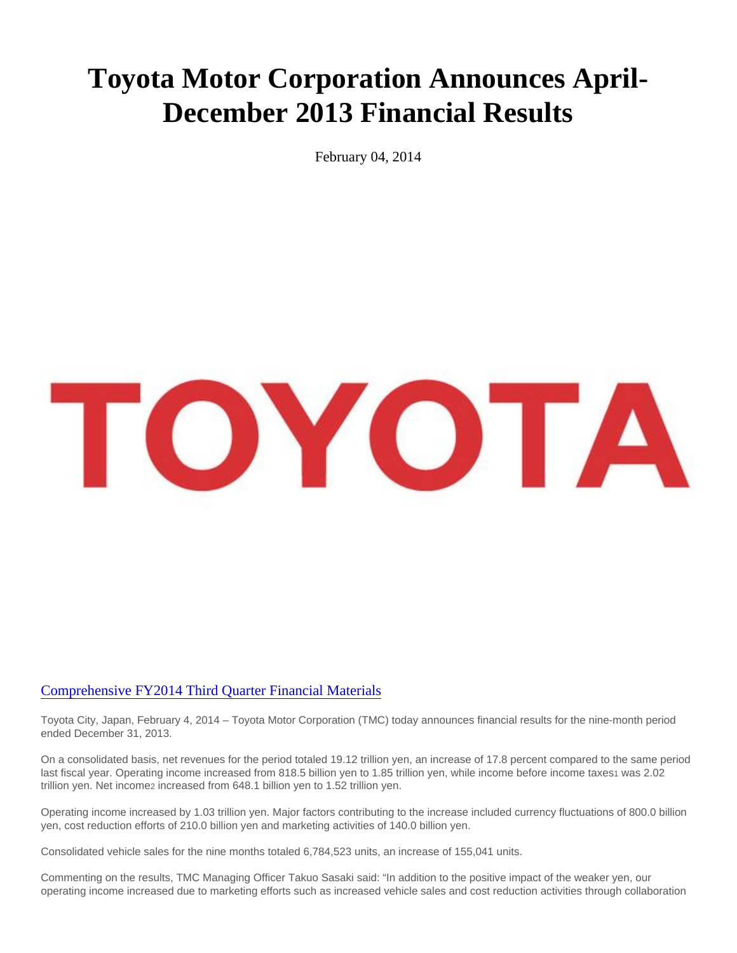## Toyota Motor Corporation Announces April-December 2013 Financial Results

February 04, 2014

## [Comprehensive FY2014 Third Quarter Financial Mate](http://www.toyota-global.com/investors/)rials

Toyota City, Japan, February 4, 2014 – Toyota Motor Corporation (TMC) today announces financial results for the nine-month period ended December 31, 2013.

On a consolidated basis, net revenues for the period totaled 19.12 trillion yen, an increase of 17.8 percent compared to the same period last fiscal year. Operating income increased from 818.5 billion yen to 1.85 trillion yen, while income before income taxes1 was 2.02 trillion yen. Net incomez increased from 648.1 billion yen to 1.52 trillion yen.

Operating income increased by 1.03 trillion yen. Major factors contributing to the increase included currency fluctuations of 800.0 billion yen, cost reduction efforts of 210.0 billion yen and marketing activities of 140.0 billion yen.

Consolidated vehicle sales for the nine months totaled 6,784,523 units, an increase of 155,041 units.

Commenting on the results, TMC Managing Officer Takuo Sasaki said: "In addition to the positive impact of the weaker yen, our operating income increased due to marketing efforts such as increased vehicle sales and cost reduction activities through collaboration